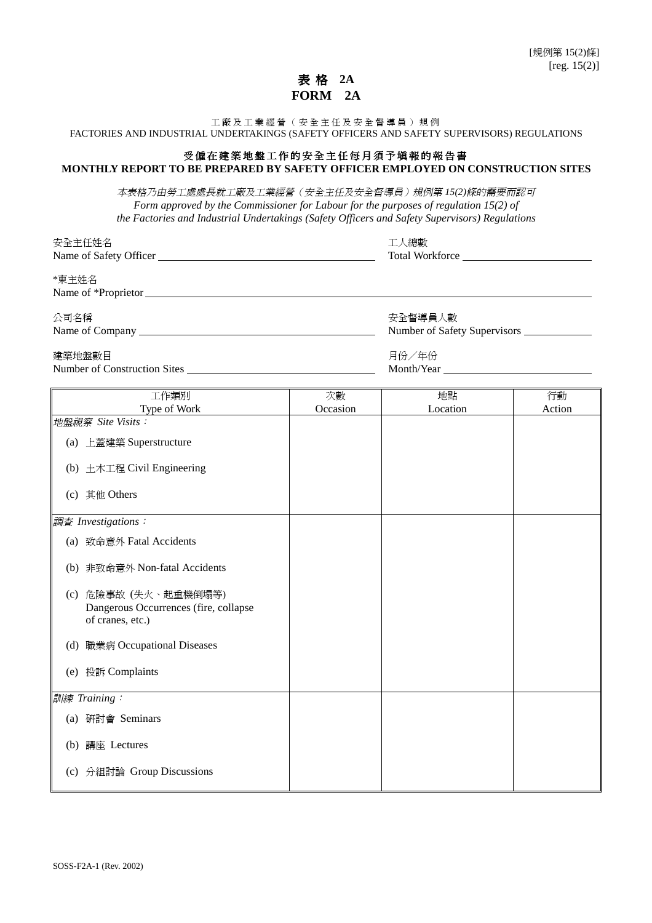## 表 格 **2A FORM 2A**

工廠及工業經營(安全主任及安全督導員)規例

FACTORIES AND INDUSTRIAL UNDERTAKINGS (SAFETY OFFICERS AND SAFETY SUPERVISORS) REGULATIONS

## 受僱在建築地盤工作的安全主任每月須予填報的報告書 **MONTHLY REPORT TO BE PREPARED BY SAFETY OFFICER EMPLOYED ON CONSTRUCTION SITES**

本表格乃由㈸工處處長就工廠及工業經營(安全主任及安全督導員)規例第 *15(2)*條的需要而認可 *Form approved by the Commissioner for Labour for the purposes of regulation 15(2) of the Factories and Industrial Undertakings (Safety Officers and Safety Supervisors) Regulations*

| 安全主任姓名<br>Name of Safety Officer | 工人總數<br>Total Workforce        |
|----------------------------------|--------------------------------|
| *東主姓名                            |                                |
| 公司名稱                             | 安全督導員人數                        |
|                                  | Number of Safety Supervisors _ |

建築地盤數目 いっちょう しゅうしゃ しゅうしゃ かんしゅう うんこう 月份/年份 Number of Construction Sites Month/Year

| 工作類別                                                                              | 次數       | 地點       | 行動     |  |
|-----------------------------------------------------------------------------------|----------|----------|--------|--|
| Type of Work                                                                      | Occasion | Location | Action |  |
| 地盤視察 Site Visits:                                                                 |          |          |        |  |
| (a) 上蓋建築 Superstructure                                                           |          |          |        |  |
| (b) 土木工程 Civil Engineering                                                        |          |          |        |  |
| (c) 其他 Others                                                                     |          |          |        |  |
| 調査 Investigations:                                                                |          |          |        |  |
| 致命意外 Fatal Accidents<br>(a)                                                       |          |          |        |  |
| (b) 非致命意外 Non-fatal Accidents                                                     |          |          |        |  |
| (c) 危險事故 (失火、起重機倒塌等)<br>Dangerous Occurrences (fire, collapse<br>of cranes, etc.) |          |          |        |  |
| 職業病 Occupational Diseases<br>(d)                                                  |          |          |        |  |
| 投訴 Complaints<br>(e)                                                              |          |          |        |  |
| 訓練 Training:                                                                      |          |          |        |  |
| 研討會 Seminars<br>(a)                                                               |          |          |        |  |
| 講座 Lectures<br>(b)                                                                |          |          |        |  |
| 分組討論 Group Discussions<br>(c)                                                     |          |          |        |  |